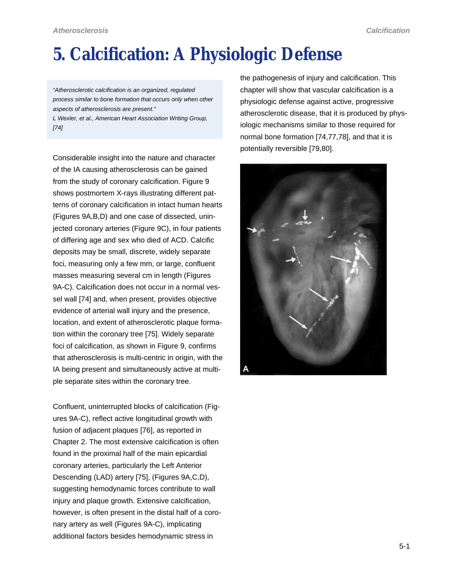# <span id="page-0-0"></span>**5. Calcification: A Physiologic Defense**

*"Atherosclerotic calcification is an organized, regulated process similar to bone formation that occurs only when other aspects of atherosclerosis are present."*

*L Wexler, et al., American Heart Association Writing Group, [74]*

Considerable insight into the nature and character of the IA causing atherosclerosis can be gained from the study of coronary calcification. Figure 9 shows postmortem X-rays illustrating different patterns of coronary calcification in intact human hearts (Figures 9A,B,D) and one case of dissected, uninjected coronary arteries (Figure 9C), in four patients of differing age and sex who died of ACD. Calcific deposits may be small, discrete, widely separate foci, measuring only a few mm, or large, confluent masses measuring several cm in length (Figures 9A-C). Calcification does not occur in a normal vessel wall [74] and, when present, provides objective evidence of arterial wall injury and the presence, location, and extent of atherosclerotic plaque formation within the coronary tree [75]. Widely separate foci of calcification, as shown in Figure 9, confirms that atherosclerosis is multi-centric in origin, with the IA being present and simultaneously active at multiple separate sites within the coronary tree.

Confluent, uninterrupted blocks of calcification (Figures 9A-C), reflect active longitudinal growth with fusion of adjacent plaques [76], as reported in Chapter 2. The most extensive calcification is often found in the proximal half of the main epicardial coronary arteries, particularly the Left Anterior Descending (LAD) artery [75], (Figures 9A,C,D), suggesting hemodynamic forces contribute to wall injury and plaque growth. Extensive calcification, however, is often present in the distal half of a coronary artery as well (Figures 9A-C), implicating additional factors besides hemodynamic stress in

the pathogenesis of injury and calcification. This chapter will show that vascular calcification is a physiologic defense against active, progressive atherosclerotic disease, that it is produced by physiologic mechanisms similar to those required for normal bone formation [74,77,78], and that it is potentially reversible [79,80].

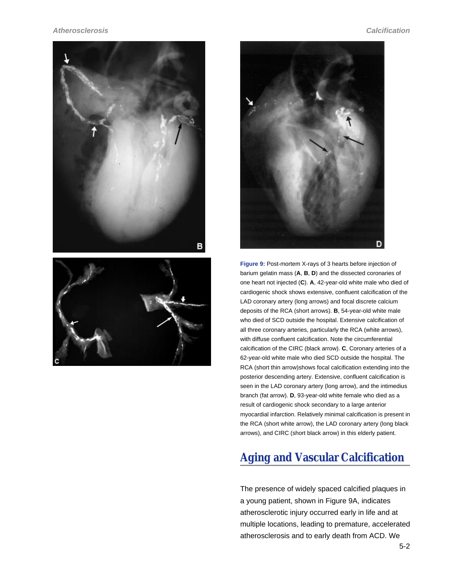





**Figure 9:** Post-mortem X-rays of 3 hearts before injection of barium gelatin mass (**A**, **B**, **D**) and the dissected coronaries of one heart not injected (**C**). **A**, 42-year-old white male who died of cardiogenic shock shows extensive, confluent calcification of the LAD coronary artery (long arrows) and focal discrete calcium deposits of the RCA (short arrows). **B**, 54-year-old white male who died of SCD outside the hospital. Extensive calcification of all three coronary arteries, particularly the RCA (white arrows), with diffuse confluent calcification. Note the circumferential calcification of the CIRC (black arrow). **C**, Coronary arteries of a 62-year-old white male who died SCD outside the hospital. The RCA (short thin arrow)shows focal calcification extending into the posterior descending artery. Extensive, confluent calcification is seen in the LAD coronary artery (long arrow), and the intimedius branch (fat arrow). **D**, 93-year-old white female who died as a result of cardiogenic shock secondary to a large anterior myocardial infarction. Relatively minimal calcification is present in the RCA (short white arrow), the LAD coronary artery (long black arrows), and CIRC (short black arrow) in this elderly patient.

## **Aging and Vascular Calcification**

The presence of widely spaced calcified plaques in a young patient, shown in [Figure 9A,](#page-0-0) indicates atherosclerotic injury occurred early in life and at multiple locations, leading to premature, accelerated atherosclerosis and to early death from ACD. We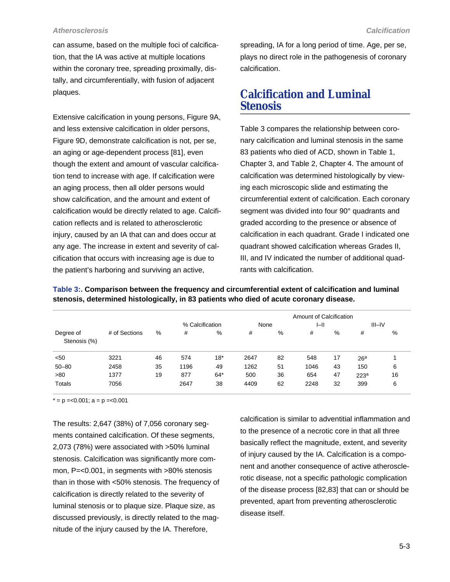<span id="page-2-0"></span>can assume, based on the multiple foci of calcification, that the IA was active at multiple locations within the coronary tree, spreading proximally, distally, and circumferentially, with fusion of adjacent plaques.

Extensive calcification in young persons, [Figure 9A,](#page-0-0) and less extensive calcification in older persons, [Figure 9D,](#page-0-0) demonstrate calcification is not, per se, an aging or age-dependent process [81], even though the extent and amount of vascular calcification tend to increase with age. If calcification were an aging process, then all older persons would show calcification, and the amount and extent of calcification would be directly related to age. Calcification reflects and is related to atherosclerotic injury, caused by an IA that can and does occur at any age. The increase in extent and severity of calcification that occurs with increasing age is due to the patient's harboring and surviving an active,

spreading, IA for a long period of time. Age, per se, plays no direct role in the pathogenesis of coronary calcification.

## **Calcification and Luminal Stenosis**

Table 3 compares the relationship between coronary calcification and luminal stenosis in the same 83 patients who died of ACD, shown in Table 1, Chapter 3, and Table 2, Chapter 4. The amount of calcification was determined histologically by viewing each microscopic slide and estimating the circumferential extent of calcification. Each coronary segment was divided into four 90° quadrants and graded according to the presence or absence of calcification in each quadrant. Grade I indicated one quadrant showed calcification whereas Grades II, III, and IV indicated the number of additional quadrants with calcification.

|  | stenosis, determined histologically, in 83 patients who died of acute coronary disease. |  |
|--|-----------------------------------------------------------------------------------------|--|
|  | Amount of Calcification                                                                 |  |

**Table 3:. Comparison between the frequency and circumferential extent of calcification and luminal**

|                           |               |    |                 |       | Amount of Calcification |    |      |    |                  |    |
|---------------------------|---------------|----|-----------------|-------|-------------------------|----|------|----|------------------|----|
|                           |               |    | % Calcification |       | None                    |    | H    |    | $III - IV$       |    |
| Degree of<br>Stenosis (%) | # of Sections | %  | #               | %     | #                       | %  | #    | %  | #                | %  |
| < 50                      | 3221          | 46 | 574             | $18*$ | 2647                    | 82 | 548  | 17 | 26 <sup>a</sup>  |    |
| $50 - 80$                 | 2458          | 35 | 1196            | 49    | 1262                    | 51 | 1046 | 43 | 150              | 6  |
| >80                       | 1377          | 19 | 877             | $64*$ | 500                     | 36 | 654  | 47 | 223 <sup>a</sup> | 16 |
| Totals                    | 7056          |    | 2647            | 38    | 4409                    | 62 | 2248 | 32 | 399              | 6  |

 $* = p = 0.001$ ; a = p = < 0.001

The results: 2,647 (38%) of 7,056 coronary segments contained calcification. Of these segments, 2,073 (78%) were associated with >50% luminal stenosis. Calcification was significantly more common, P=<0.001, in segments with >80% stenosis than in those with <50% stenosis. The frequency of calcification is directly related to the severity of luminal stenosis or to plaque size. Plaque size, as discussed previously, is directly related to the magnitude of the injury caused by the IA. Therefore,

calcification is similar to adventitial inflammation and to the presence of a necrotic core in that all three basically reflect the magnitude, extent, and severity of injury caused by the IA. Calcification is a component and another consequence of active atherosclerotic disease, not a specific pathologic complication of the disease process [82,83] that can or should be prevented, apart from preventing atherosclerotic disease itself.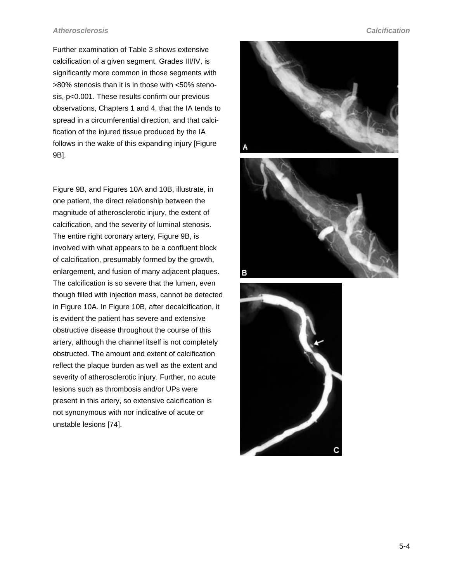<span id="page-3-0"></span>Further examination of [Table 3](#page-2-0) shows extensive calcification of a given segment, Grades III/IV, is significantly more common in those segments with >80% stenosis than it is in those with <50% stenosis, p<0.001. These results confirm our previous observations, Chapters 1 and 4, that the IA tends to spread in a circumferential direction, and that calcification of the injured tissue produced by the IA follows in the wake of this expanding injury [[Figure](#page-0-0) [9B](#page-0-0)].

[Figure 9B](#page-0-0), and Figures 10A and 10B, illustrate, in one patient, the direct relationship between the magnitude of atherosclerotic injury, the extent of calcification, and the severity of luminal stenosis. The entire right coronary artery, [Figure 9B](#page-0-0), is involved with what appears to be a confluent block of calcification, presumably formed by the growth, enlargement, and fusion of many adjacent plaques. The calcification is so severe that the lumen, even though filled with injection mass, cannot be detected in Figure 10A. In Figure 10B, after decalcification, it is evident the patient has severe and extensive obstructive disease throughout the course of this artery, although the channel itself is not completely obstructed. The amount and extent of calcification reflect the plaque burden as well as the extent and severity of atherosclerotic injury. Further, no acute lesions such as thrombosis and/or UPs were present in this artery, so extensive calcification is not synonymous with nor indicative of acute or unstable lesions [74].

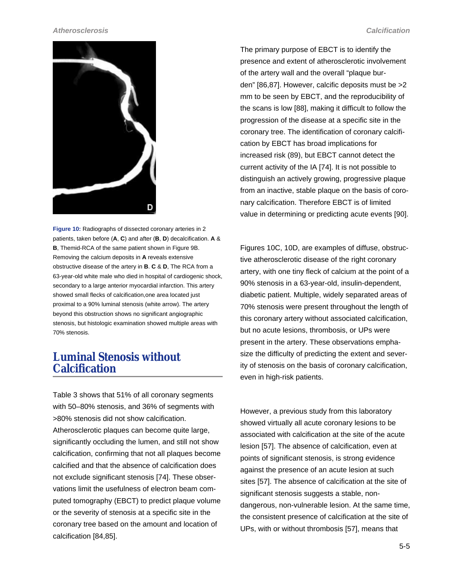

**Figure 10:** Radiographs of dissected coronary arteries in 2 patients, taken before (**A**, **C**) and after (**B**, **D**) decalcification. **A** & **B**, Themid-RCA of the same patient shown in [Figure 9B](#page-0-0). Removing the calcium deposits in **A** reveals extensive obstructive disease of the artery in **B**. **C** & **D**, The RCA from a 63-year-old white male who died in hospital of cardiogenic shock, secondary to a large anterior myocardial infarction. This artery showed small flecks of calcification,one area located just proximal to a 90% luminal stenosis (white arrow). The artery beyond this obstruction shows no significant angiographic stenosis, but histologic examination showed multiple areas with 70% stenosis.

## **Luminal Stenosis without Calcification**

[Table 3](#page-2-0) shows that 51% of all coronary segments with 50–80% stenosis, and 36% of segments with >80% stenosis did not show calcification. Atherosclerotic plaques can become quite large, significantly occluding the lumen, and still not show calcification, confirming that not all plaques become calcified and that the absence of calcification does not exclude significant stenosis [74]. These observations limit the usefulness of electron beam computed tomography (EBCT) to predict plaque volume or the severity of stenosis at a specific site in the coronary tree based on the amount and location of calcification [84,85].

The primary purpose of EBCT is to identify the presence and extent of atherosclerotic involvement of the artery wall and the overall "plaque burden" [86,87]. However, calcific deposits must be >2 mm to be seen by EBCT, and the reproducibility of the scans is low [88], making it difficult to follow the progression of the disease at a specific site in the coronary tree. The identification of coronary calcification by EBCT has broad implications for increased risk (89), but EBCT cannot detect the current activity of the IA [74]. It is not possible to distinguish an actively growing, progressive plaque from an inactive, stable plaque on the basis of coronary calcification. Therefore EBCT is of limited value in determining or predicting acute events [90].

[Figures 10C, 10D](#page-3-0), are examples of diffuse, obstructive atherosclerotic disease of the right coronary artery, with one tiny fleck of calcium at the point of a 90% stenosis in a 63-year-old, insulin-dependent, diabetic patient. Multiple, widely separated areas of 70% stenosis were present throughout the length of this coronary artery without associated calcification, but no acute lesions, thrombosis, or UPs were present in the artery. These observations emphasize the difficulty of predicting the extent and severity of stenosis on the basis of coronary calcification, even in high-risk patients.

However, a previous study from this laboratory showed virtually all acute coronary lesions to be associated with calcification at the site of the acute lesion [57]. The absence of calcification, even at points of significant stenosis, is strong evidence against the presence of an acute lesion at such sites [57]. The absence of calcification at the site of significant stenosis suggests a stable, nondangerous, non-vulnerable lesion. At the same time, the consistent presence of calcification at the site of UPs, with or without thrombosis [57], means that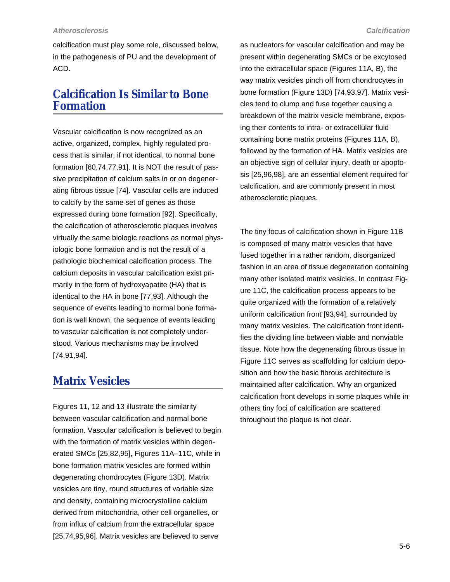calcification must play some role, discussed below, in the pathogenesis of PU and the development of ACD.

## **Calcification Is Similar to Bone Formation**

Vascular calcification is now recognized as an active, organized, complex, highly regulated process that is similar, if not identical, to normal bone formation [60,74,77,91]. It is NOT the result of passive precipitation of calcium salts in or on degenerating fibrous tissue [74]. Vascular cells are induced to calcify by the same set of genes as those expressed during bone formation [92]. Specifically, the calcification of atherosclerotic plaques involves virtually the same biologic reactions as normal physiologic bone formation and is not the result of a pathologic biochemical calcification process. The calcium deposits in vascular calcification exist primarily in the form of hydroxyapatite (HA) that is identical to the HA in bone [77,93]. Although the sequence of events leading to normal bone formation is well known, the sequence of events leading to vascular calcification is not completely understood. Various mechanisms may be involved [74,91,94].

## **Matrix Vesicles**

[Figures 11](#page-6-0), [12](#page-7-0) and [13](#page-8-0) illustrate the similarity between vascular calcification and normal bone formation. Vascular calcification is believed to begin with the formation of matrix vesicles within degenerated SMCs [25,82,95], [Figures 11A–11C,](#page-6-0) while in bone formation matrix vesicles are formed within degenerating chondrocytes ([Figure 13D](#page-8-0)). Matrix vesicles are tiny, round structures of variable size and density, containing microcrystalline calcium derived from mitochondria, other cell organelles, or from influx of calcium from the extracellular space [25,74,95,96]. Matrix vesicles are believed to serve

as nucleators for vascular calcification and may be present within degenerating SMCs or be excytosed into the extracellular space [\(Figures 11A, B](#page-6-0)), the way matrix vesicles pinch off from chondrocytes in bone formation ([Figure 13D](#page-8-0)) [74,93,97]. Matrix vesicles tend to clump and fuse together causing a breakdown of the matrix vesicle membrane, exposing their contents to intra- or extracellular fluid containing bone matrix proteins [\(Figures 11A, B](#page-6-0)), followed by the formation of HA. Matrix vesicles are an objective sign of cellular injury, death or apoptosis [25,96,98], are an essential element required for calcification, and are commonly present in most atherosclerotic plaques.

The tiny focus of calcification shown in [Figure 11B](#page-6-0) is composed of many matrix vesicles that have fused together in a rather random, disorganized fashion in an area of tissue degeneration containing many other isolated matrix vesicles. In contrast [Fig](#page-6-0)[ure 11C,](#page-6-0) the calcification process appears to be quite organized with the formation of a relatively uniform calcification front [93,94], surrounded by many matrix vesicles. The calcification front identifies the dividing line between viable and nonviable tissue. Note how the degenerating fibrous tissue in [Figure 11C](#page-6-0) serves as scaffolding for calcium deposition and how the basic fibrous architecture is maintained after calcification. Why an organized calcification front develops in some plaques while in others tiny foci of calcification are scattered throughout the plaque is not clear.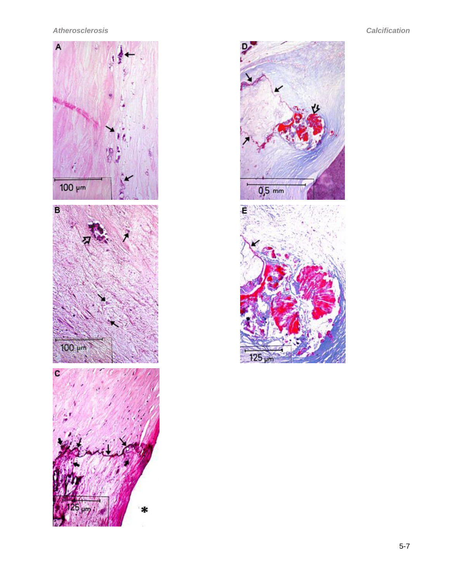

×

<span id="page-6-0"></span>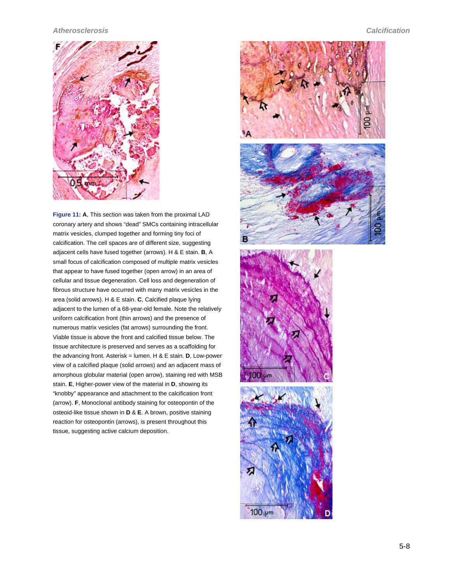<span id="page-7-0"></span>

**Figure 11: A**, This section was taken from the proximal LAD coronary artery and shows "dead" SMCs containing intracellular matrix vesicles, clumped together and forming tiny foci of calcification. The cell spaces are of different size, suggesting adjacent cells have fused together (arrows). H & E stain. **B**, A small focus of calcification composed of multiple matrix vesicles that appear to have fused together (open arrow) in an area of cellular and tissue degeneration. Cell loss and degeneration of fibrous structure have occurred with many matrix vesicles in the area (solid arrows). H & E stain. **C**, Calcified plaque lying adjacent to the lumen of a 68-year-old female. Note the relatively uniform calcification front (thin arrows) and the presence of numerous matrix vesicles (fat arrows) surrounding the front. Viable tissue is above the front and calcified tissue below. The tissue architecture is preserved and serves as a scaffolding for the advancing front. Asterisk = lumen. H & E stain. **D**, Low-power view of a calcified plaque (solid arrows) and an adjacent mass of amorphous globular material (open arrow), staining red with MSB stain. **E**, Higher-power view of the material in **D**, showing its "knobby" appearance and attachment to the calcification front (arrow). **F**, Monoclonal antibody staining for osteopontin of the osteoid-like tissue shown in **D** & **E**. A brown, positive staining reaction for osteopontin (arrows), is present throughout this tissue, suggesting active calcium deposition.

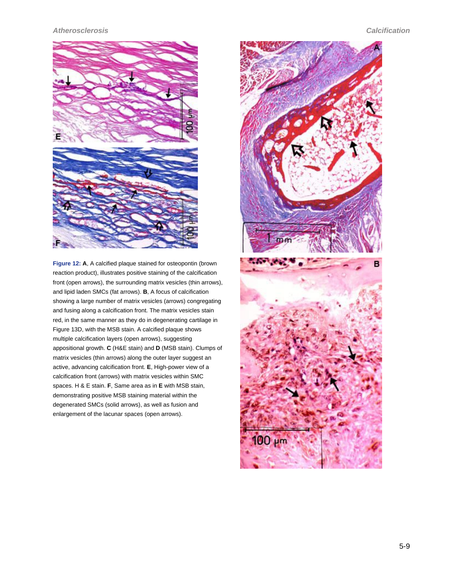<span id="page-8-0"></span>

**Figure 12: A**, A calcified plaque stained for osteopontin (brown reaction product), illustrates positive staining of the calcification front (open arrows), the surrounding matrix vesicles (thin arrows), and lipid laden SMCs (fat arrows). **B**, A focus of calcification showing a large number of matrix vesicles (arrows) congregating and fusing along a calcification front. The matrix vesicles stain red, in the same manner as they do in degenerating cartilage in Figure 13D, with the MSB stain. A calcified plaque shows multiple calcification layers (open arrows), suggesting appositional growth. **C** (H&E stain) and **D** (MSB stain). Clumps of matrix vesicles (thin arrows) along the outer layer suggest an active, advancing calcification front. **E**, High-power view of a calcification front (arrows) with matrix vesicles within SMC spaces. H & E stain. **F**, Same area as in **E** with MSB stain, demonstrating positive MSB staining material within the degenerated SMCs (solid arrows), as well as fusion and enlargement of the lacunar spaces (open arrows).

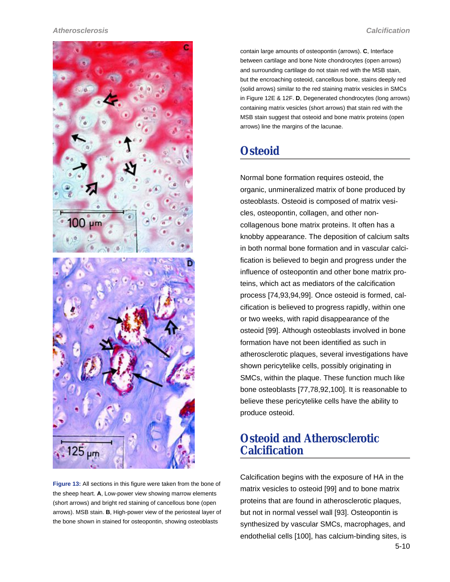

**Figure 13:** All sections in this figure were taken from the bone of the sheep heart. **A**, Low-power view showing marrow elements (short arrows) and bright red staining of cancellous bone (open arrows). MSB stain. **B**, High-power view of the periosteal layer of the bone shown in stained for osteopontin, showing osteoblasts

contain large amounts of osteopontin (arrows). **C**, Interface between cartilage and bone Note chondrocytes (open arrows) and surrounding cartilage do not stain red with the MSB stain, but the encroaching osteoid, cancellous bone, stains deeply red (solid arrows) similar to the red staining matrix vesicles in SMCs in [Figure 12E & 12F](#page-7-0). **D**, Degenerated chondrocytes (long arrows) containing matrix vesicles (short arrows) that stain red with the MSB stain suggest that osteoid and bone matrix proteins (open arrows) line the margins of the lacunae.

## **Osteoid**

Normal bone formation requires osteoid, the organic, unmineralized matrix of bone produced by osteoblasts. Osteoid is composed of matrix vesicles, osteopontin, collagen, and other noncollagenous bone matrix proteins. It often has a knobby appearance. The deposition of calcium salts in both normal bone formation and in vascular calcification is believed to begin and progress under the influence of osteopontin and other bone matrix proteins, which act as mediators of the calcification process [74,93,94,99]. Once osteoid is formed, calcification is believed to progress rapidly, within one or two weeks, with rapid disappearance of the osteoid [99]. Although osteoblasts involved in bone formation have not been identified as such in atherosclerotic plaques, several investigations have shown pericytelike cells, possibly originating in SMCs, within the plaque. These function much like bone osteoblasts [77,78,92,100]. It is reasonable to believe these pericytelike cells have the ability to produce osteoid.

## **Osteoid and Atherosclerotic Calcification**

Calcification begins with the exposure of HA in the matrix vesicles to osteoid [99] and to bone matrix proteins that are found in atherosclerotic plaques, but not in normal vessel wall [93]. Osteopontin is synthesized by vascular SMCs, macrophages, and endothelial cells [100], has calcium-binding sites, is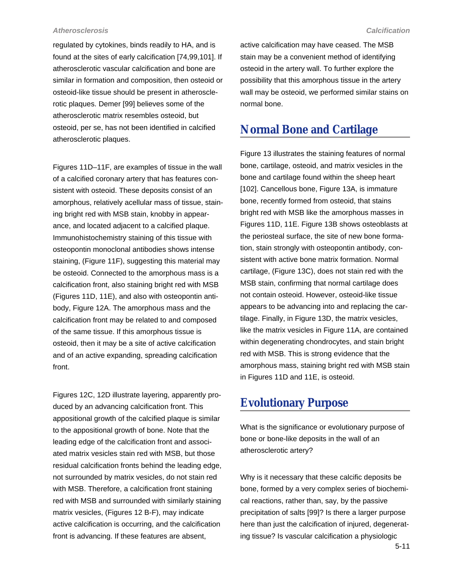regulated by cytokines, binds readily to HA, and is found at the sites of early calcification [74,99,101]. If atherosclerotic vascular calcification and bone are similar in formation and composition, then osteoid or osteoid-like tissue should be present in atherosclerotic plaques. Demer [99] believes some of the atherosclerotic matrix resembles osteoid, but osteoid, per se, has not been identified in calcified atherosclerotic plaques.

[Figures 11D–11F](#page-6-0), are examples of tissue in the wall of a calcified coronary artery that has features consistent with osteoid. These deposits consist of an amorphous, relatively acellular mass of tissue, staining bright red with MSB stain, knobby in appearance, and located adjacent to a calcified plaque. Immunohistochemistry staining of this tissue with osteopontin monoclonal antibodies shows intense staining, [\(Figure 11F\)](#page-6-0), suggesting this material may be osteoid. Connected to the amorphous mass is a calcification front, also staining bright red with MSB [\(Figures 11D, 11E](#page-6-0)), and also with osteopontin antibody, [Figure 12A](#page-7-0). The amorphous mass and the calcification front may be related to and composed of the same tissue. If this amorphous tissue is osteoid, then it may be a site of active calcification and of an active expanding, spreading calcification front.

[Figures 12C](#page-7-0), [12D](#page-7-0) illustrate layering, apparently produced by an advancing calcification front. This appositional growth of the calcified plaque is similar to the appositional growth of bone. Note that the leading edge of the calcification front and associated matrix vesicles stain red with MSB, but those residual calcification fronts behind the leading edge, not surrounded by matrix vesicles, do not stain red with MSB. Therefore, a calcification front staining red with MSB and surrounded with similarly staining matrix vesicles, [\(Figures 12 B-F\)](#page-7-0), may indicate active calcification is occurring, and the calcification front is advancing. If these features are absent,

active calcification may have ceased. The MSB stain may be a convenient method of identifying osteoid in the artery wall. To further explore the possibility that this amorphous tissue in the artery wall may be osteoid, we performed similar stains on normal bone.

## **Normal Bone and Cartilage**

[Figure 13](#page-8-0) illustrates the staining features of normal bone, cartilage, osteoid, and matrix vesicles in the bone and cartilage found within the sheep heart [102]. Cancellous bone, [Figure 13A,](#page-8-0) is immature bone, recently formed from osteoid, that stains bright red with MSB like the amorphous masses in [Figures 11D, 11E.](#page-6-0) [Figure 13B](#page-8-0) shows osteoblasts at the periosteal surface, the site of new bone formation, stain strongly with osteopontin antibody, consistent with active bone matrix formation. Normal cartilage, ([Figure 13C](#page-8-0)), does not stain red with the MSB stain, confirming that normal cartilage does not contain osteoid. However, osteoid-like tissue appears to be advancing into and replacing the cartilage. Finally, in [Figure 13D,](#page-8-0) the matrix vesicles, like the matrix vesicles in [Figure 11A](#page-6-0), are contained within degenerating chondrocytes, and stain bright red with MSB. This is strong evidence that the amorphous mass, staining bright red with MSB stain in [Figures 11D and 11E](#page-6-0), is osteoid.

## **Evolutionary Purpose**

What is the significance or evolutionary purpose of bone or bone-like deposits in the wall of an atherosclerotic artery?

Why is it necessary that these calcific deposits be bone, formed by a very complex series of biochemical reactions, rather than, say, by the passive precipitation of salts [99]? Is there a larger purpose here than just the calcification of injured, degenerating tissue? Is vascular calcification a physiologic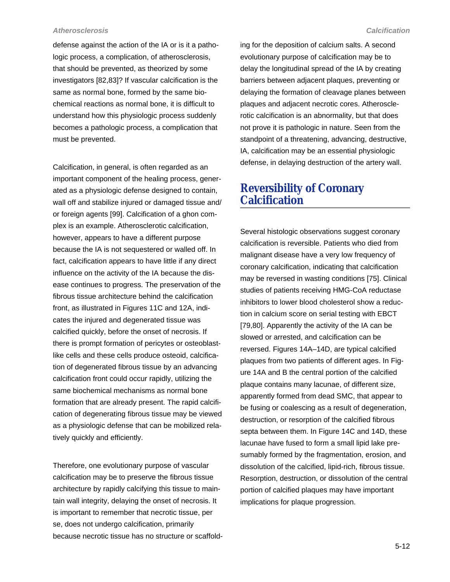defense against the action of the IA or is it a pathologic process, a complication, of atherosclerosis, that should be prevented, as theorized by some investigators [82,83]? If vascular calcification is the same as normal bone, formed by the same biochemical reactions as normal bone, it is difficult to understand how this physiologic process suddenly becomes a pathologic process, a complication that must be prevented.

Calcification, in general, is often regarded as an important component of the healing process, generated as a physiologic defense designed to contain, wall off and stabilize injured or damaged tissue and/ or foreign agents [99]. Calcification of a ghon complex is an example. Atherosclerotic calcification, however, appears to have a different purpose because the IA is not sequestered or walled off. In fact, calcification appears to have little if any direct influence on the activity of the IA because the disease continues to progress. The preservation of the fibrous tissue architecture behind the calcification front, as illustrated in [Figures 11C](#page-6-0) and [12A,](#page-7-0) indicates the injured and degenerated tissue was calcified quickly, before the onset of necrosis. If there is prompt formation of pericytes or osteoblastlike cells and these cells produce osteoid, calcification of degenerated fibrous tissue by an advancing calcification front could occur rapidly, utilizing the same biochemical mechanisms as normal bone formation that are already present. The rapid calcification of degenerating fibrous tissue may be viewed as a physiologic defense that can be mobilized relatively quickly and efficiently.

Therefore, one evolutionary purpose of vascular calcification may be to preserve the fibrous tissue architecture by rapidly calcifying this tissue to maintain wall integrity, delaying the onset of necrosis. It is important to remember that necrotic tissue, per se, does not undergo calcification, primarily because necrotic tissue has no structure or scaffolding for the deposition of calcium salts. A second evolutionary purpose of calcification may be to delay the longitudinal spread of the IA by creating barriers between adjacent plaques, preventing or delaying the formation of cleavage planes between plaques and adjacent necrotic cores. Atherosclerotic calcification is an abnormality, but that does not prove it is pathologic in nature. Seen from the standpoint of a threatening, advancing, destructive, IA, calcification may be an essential physiologic defense, in delaying destruction of the artery wall.

## **Reversibility of Coronary Calcification**

Several histologic observations suggest coronary calcification is reversible. Patients who died from malignant disease have a very low frequency of coronary calcification, indicating that calcification may be reversed in wasting conditions [75]. Clinical studies of patients receiving HMG-CoA reductase inhibitors to lower blood cholesterol show a reduction in calcium score on serial testing with EBCT [79,80]. Apparently the activity of the IA can be slowed or arrested, and calcification can be reversed. [Figures 14A–14D](#page-13-0), are typical calcified plaques from two patients of different ages. In [Fig](#page-13-0)[ure 14A and B](#page-13-0) the central portion of the calcified plaque contains many lacunae, of different size, apparently formed from dead SMC, that appear to be fusing or coalescing as a result of degeneration, destruction, or resorption of the calcified fibrous septa between them. In [Figure 14C and 14D,](#page-13-0) these lacunae have fused to form a small lipid lake presumably formed by the fragmentation, erosion, and dissolution of the calcified, lipid-rich, fibrous tissue. Resorption, destruction, or dissolution of the central portion of calcified plaques may have important implications for plaque progression.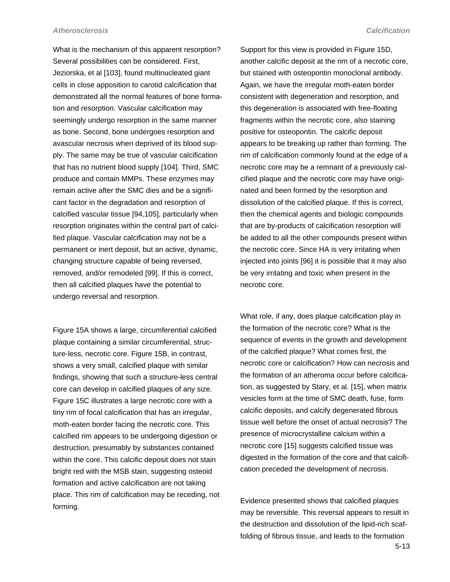What is the mechanism of this apparent resorption? Several possibilities can be considered. First, Jeziorska, et al [103], found multinucleated giant cells in close apposition to carotid calcification that demonstrated all the normal features of bone formation and resorption. Vascular calcification may seemingly undergo resorption in the same manner as bone. Second, bone undergoes resorption and avascular necrosis when deprived of its blood supply. The same may be true of vascular calcification that has no nutrient blood supply [104]. Third, SMC produce and contain MMPs. These enzymes may remain active after the SMC dies and be a significant factor in the degradation and resorption of calcified vascular tissue [94,105], particularly when resorption originates within the central part of calcified plaque. Vascular calcification may not be a permanent or inert deposit, but an active, dynamic, changing structure capable of being reversed, removed, and/or remodeled [99]. If this is correct, then all calcified plaques have the potential to undergo reversal and resorption.

[Figure 15A](#page-14-0) shows a large, circumferential calcified plaque containing a similar circumferential, structure-less, necrotic core. [Figure 15B,](#page-14-0) in contrast, shows a very small, calcified plaque with similar findings, showing that such a structure-less central core can develop in calcified plaques of any size. [Figure 15C](#page-14-0) illustrates a large necrotic core with a tiny rim of focal calcification that has an irregular, moth-eaten border facing the necrotic core. This calcified rim appears to be undergoing digestion or destruction, presumably by substances contained within the core. This calcific deposit does not stain bright red with the MSB stain, suggesting osteoid formation and active calcification are not taking place. This rim of calcification may be receding, not forming.

Support for this view is provided in [Figure 15D,](#page-14-0) another calcific deposit at the rim of a necrotic core, but stained with osteopontin monoclonal antibody. Again, we have the irregular moth-eaten border consistent with degeneration and resorption, and this degeneration is associated with free-floating fragments within the necrotic core, also staining positive for osteopontin. The calcific deposit appears to be breaking up rather than forming. The rim of calcification commonly found at the edge of a necrotic core may be a remnant of a previously calcified plaque and the necrotic core may have originated and been formed by the resorption and dissolution of the calcified plaque. If this is correct, then the chemical agents and biologic compounds that are by-products of calcification resorption will be added to all the other compounds present within the necrotic core. Since HA is very irritating when injected into joints [96] it is possible that it may also be very irritating and toxic when present in the necrotic core.

What role, if any, does plaque calcification play in the formation of the necrotic core? What is the sequence of events in the growth and development of the calcified plaque? What comes first, the necrotic core or calcification? How can necrosis and the formation of an atheroma occur before calcification, as suggested by Stary, et al. [15], when matrix vesicles form at the time of SMC death, fuse, form calcific deposits, and calcify degenerated fibrous tissue well before the onset of actual necrosis? The presence of microcrystalline calcium within a necrotic core [15] suggests calcified tissue was digested in the formation of the core and that calcification preceded the development of necrosis.

Evidence presented shows that calcified plaques may be reversible. This reversal appears to result in the destruction and dissolution of the lipid-rich scaffolding of fibrous tissue, and leads to the formation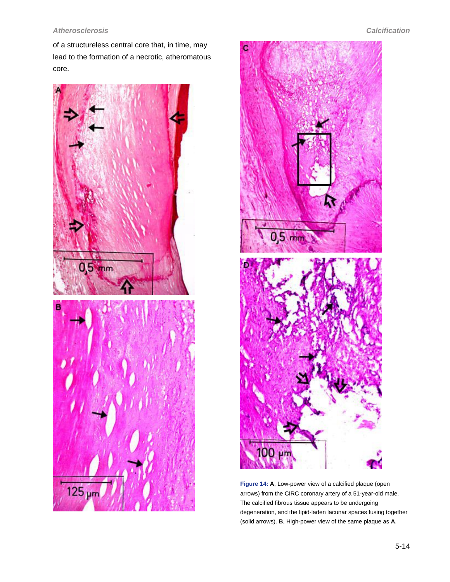<span id="page-13-0"></span>of a structureless central core that, in time, may lead to the formation of a necrotic, atheromatous core.





**Figure 14: A**, Low-power view of a calcified plaque (open arrows) from the CIRC coronary artery of a 51-year-old male. The calcified fibrous tissue appears to be undergoing degeneration, and the lipid-laden lacunar spaces fusing together (solid arrows). **B**, High-power view of the same plaque as **A**.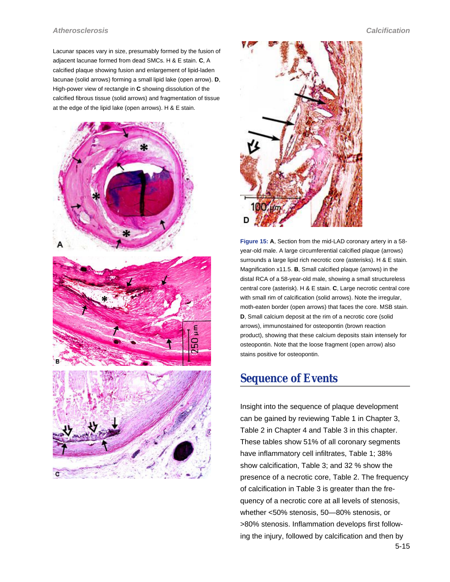<span id="page-14-0"></span>Lacunar spaces vary in size, presumably formed by the fusion of adjacent lacunae formed from dead SMCs. H & E stain. **C**, A calcified plaque showing fusion and enlargement of lipid-laden lacunae (solid arrows) forming a small lipid lake (open arrow). **D**, High-power view of rectangle in **C** showing dissolution of the calcified fibrous tissue (solid arrows) and fragmentation of tissue at the edge of the lipid lake (open arrows). H & E stain.





**Figure 15: A**, Section from the mid-LAD coronary artery in a 58 year-old male. A large circumferential calcified plaque (arrows) surrounds a large lipid rich necrotic core (asterisks). H & E stain. Magnification x11.5. **B**, Small calcified plaque (arrows) in the distal RCA of a 58-year-old male, showing a small structureless central core (asterisk). H & E stain. **C**, Large necrotic central core with small rim of calcification (solid arrows). Note the irregular, moth-eaten border (open arrows) that faces the core. MSB stain. **D**, Small calcium deposit at the rim of a necrotic core (solid arrows), immunostained for osteopontin (brown reaction product), showing that these calcium deposits stain intensely for osteopontin. Note that the loose fragment (open arrow) also stains positive for osteopontin.

## **Sequence of Events**

Insight into the sequence of plaque development can be gained by reviewing Table 1 in Chapter 3, Table 2 in Chapter 4 and [Table 3](#page-2-0) in this chapter. These tables show 51% of all coronary segments have inflammatory cell infiltrates, Table 1; 38% show calcification, [Table 3;](#page-2-0) and 32 % show the presence of a necrotic core, Table 2. The frequency of calcification in [Table 3](#page-2-0) is greater than the frequency of a necrotic core at all levels of stenosis, whether <50% stenosis, 50—80% stenosis, or >80% stenosis. Inflammation develops first following the injury, followed by calcification and then by